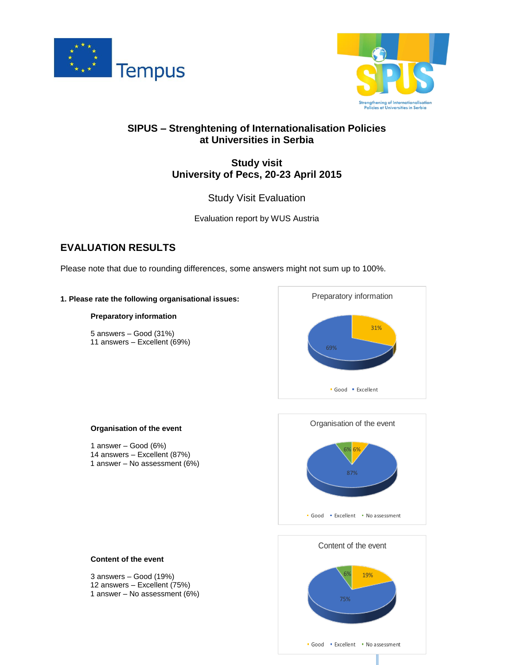



# **SIPUS – Strenghtening of Internationalisation Policies at Universities in Serbia**

# **Study visit University of Pecs, 20-23 April 2015**

Study Visit Evaluation

Evaluation report by WUS Austria

# **EVALUATION RESULTS**

Please note that due to rounding differences, some answers might not sum up to 100%.

# **1. Please rate the following organisational issues:**

# **Preparatory information**

5 answers – Good (31%) 11 answers – Excellent (69%)



# **Organisation of the event**

1 answer – Good (6%) 14 answers – Excellent (87%) 1 answer – No assessment (6%)





# **Content of the event**

3 answers – Good (19%) 12 answers – Excellent (75%) 1 answer – No assessment (6%)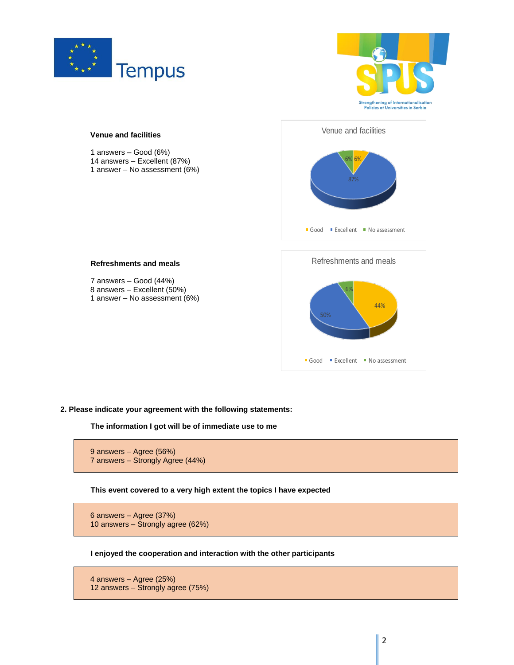





**2. Please indicate your agreement with the following statements:**

**The information I got will be of immediate use to me**

```
9 answers – Agree (56%)
7 answers – Strongly Agree (44%)
```
**This event covered to a very high extent the topics I have expected**

6 answers – Agree (37%) 10 answers – Strongly agree (62%)

**I enjoyed the cooperation and interaction with the other participants**

4 answers – Agree (25%) 12 answers – Strongly agree (75%)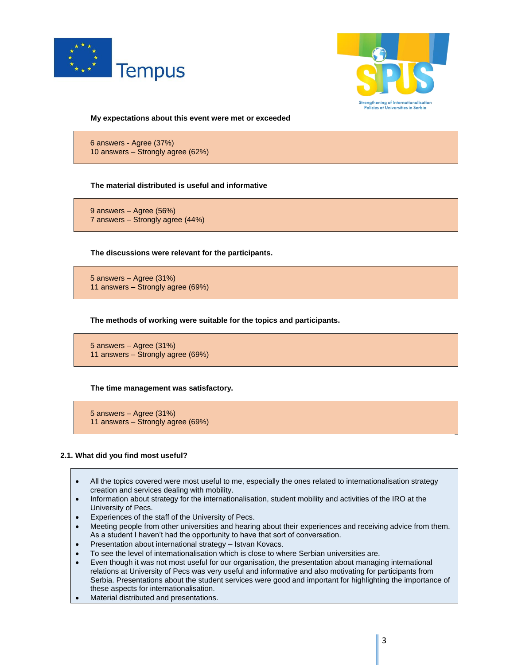



**My expectations about this event were met or exceeded**

6 answers - Agree (37%) 10 answers – Strongly agree (62%)

# **The material distributed is useful and informative**

9 answers – Agree (56%) 7 answers – Strongly agree (44%)

**The discussions were relevant for the participants.**

5 answers – Agree (31%) 11 answers – Strongly agree (69%)

**The methods of working were suitable for the topics and participants.**

5 answers – Agree (31%) 11 answers – Strongly agree (69%)

# **The time management was satisfactory.**

5 answers – Agree (31%) 11 answers – Strongly agree (69%)

### **2.1. What did you find most useful?**

- All the topics covered were most useful to me, especially the ones related to internationalisation strategy creation and services dealing with mobility.
- Information about strategy for the internationalisation, student mobility and activities of the IRO at the University of Pecs.
- Experiences of the staff of the University of Pecs.
- Meeting people from other universities and hearing about their experiences and receiving advice from them. As a student I haven't had the opportunity to have that sort of conversation.
- Presentation about international strategy Istvan Kovacs.
- To see the level of internationalisation which is close to where Serbian universities are.
- Even though it was not most useful for our organisation, the presentation about managing international relations at University of Pecs was very useful and informative and also motivating for participants from Serbia. Presentations about the student services were good and important for highlighting the importance of these aspects for internationalisation.
- Material distributed and presentations.